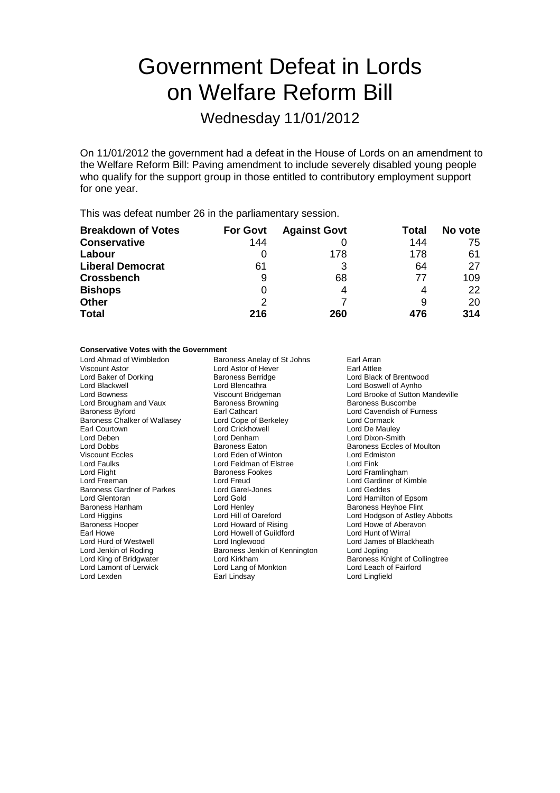# Government Defeat in Lords on Welfare Reform Bill

Wednesday 11/01/2012

On 11/01/2012 the government had a defeat in the House of Lords on an amendment to the Welfare Reform Bill: Paving amendment to include severely disabled young people who qualify for the support group in those entitled to contributory employment support for one year.

This was defeat number 26 in the parliamentary session.

| <b>Breakdown of Votes</b> | <b>For Govt</b> | <b>Against Govt</b> | Total | No vote |
|---------------------------|-----------------|---------------------|-------|---------|
| <b>Conservative</b>       | 144             |                     | 144   | 75      |
| Labour                    |                 | 178                 | 178   | -61     |
| <b>Liberal Democrat</b>   | 61              | 3                   | 64    | 27      |
| <b>Crossbench</b>         | 9               | 68                  | 77    | 109     |
| <b>Bishops</b>            | 0               | 4                   |       | 22      |
| <b>Other</b>              | $\mathcal{P}$   |                     | 9     | 20      |
| <b>Total</b>              | 216             | 260                 | 476   | 314     |

### **Conservative Votes with the Government**

| Lord Denham<br>Lord Deben<br>Lord Dobbs<br><b>Baroness Eaton</b><br><b>Viscount Eccles</b><br>Lord Eden of Winton<br>Lord Edmiston<br><b>Lord Faulks</b><br>Lord Feldman of Elstree<br>Lord Fink<br>Lord Flight<br>Baroness Fookes<br>Lord Freeman<br>Lord Freud<br><b>Baroness Gardner of Parkes</b><br>Lord Garel-Jones<br>Lord Geddes<br>Lord Gold<br>Lord Glentoran<br>Baroness Hanham<br>Lord Henley<br>Lord Hill of Oareford<br>Lord Higgins<br><b>Baroness Hooper</b><br>Lord Howard of Rising<br>Earl Howe<br>Lord Howell of Guildford<br>Lord Hurd of Westwell<br>Lord Inglewood<br>Lord Jenkin of Roding<br>Baroness Jenkin of Kennington<br>Lord Jopling<br>Lord King of Bridgwater<br>Lord Kirkham<br>Lord Lamont of Lerwick<br>Lord Lang of Monkton<br>Earl Lindsay<br>Lord Lexden<br>Lord Lingfield | Earl Arran<br>Earl Attlee<br>Lord Black of Brentwood<br>Lord Boswell of Aynho<br>Lord Brooke of Sutton Mandeville<br>Baroness Buscombe<br>Lord Cavendish of Furness<br>Lord Cormack<br>Lord De Mauley<br>Lord Dixon-Smith<br><b>Baroness Eccles of Moulton</b><br>Lord Framlingham<br>Lord Gardiner of Kimble<br>Lord Hamilton of Epsom<br><b>Baroness Heyhoe Flint</b><br>Lord Hodgson of Astley Abbotts<br>Lord Howe of Aberavon<br>Lord Hunt of Wirral<br>Lord James of Blackheath<br>Baroness Knight of Collingtree<br>Lord Leach of Fairford |
|-------------------------------------------------------------------------------------------------------------------------------------------------------------------------------------------------------------------------------------------------------------------------------------------------------------------------------------------------------------------------------------------------------------------------------------------------------------------------------------------------------------------------------------------------------------------------------------------------------------------------------------------------------------------------------------------------------------------------------------------------------------------------------------------------------------------|---------------------------------------------------------------------------------------------------------------------------------------------------------------------------------------------------------------------------------------------------------------------------------------------------------------------------------------------------------------------------------------------------------------------------------------------------------------------------------------------------------------------------------------------------|
|-------------------------------------------------------------------------------------------------------------------------------------------------------------------------------------------------------------------------------------------------------------------------------------------------------------------------------------------------------------------------------------------------------------------------------------------------------------------------------------------------------------------------------------------------------------------------------------------------------------------------------------------------------------------------------------------------------------------------------------------------------------------------------------------------------------------|---------------------------------------------------------------------------------------------------------------------------------------------------------------------------------------------------------------------------------------------------------------------------------------------------------------------------------------------------------------------------------------------------------------------------------------------------------------------------------------------------------------------------------------------------|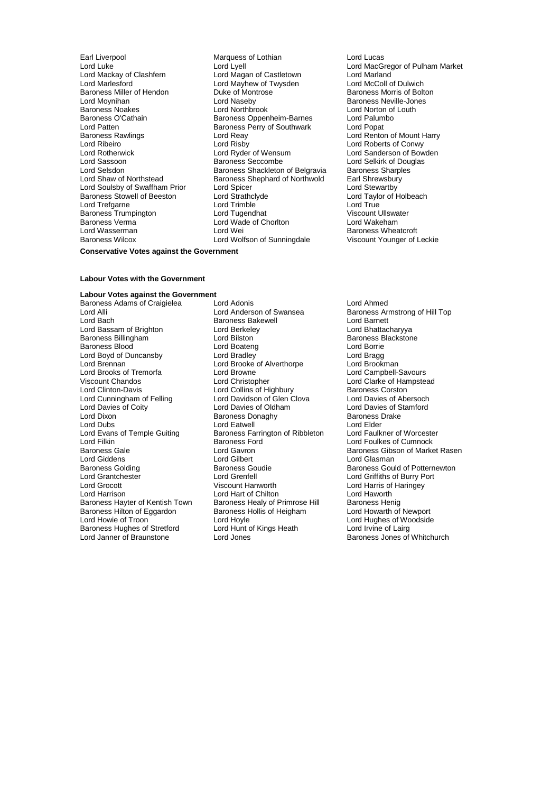Baroness Miller of Hendon Duke of Mont<br>
Lord Movnihan **Boltoness** Lord Naseby Lord Patten **Baroness Perry of Southwark**<br>
Baroness Rawlings **Baroness Perry of Southwark** Baroness Verma<br>
Lord Wasserman<br>
Lord Wei

Earl Liverpool **Earl Liverpool** Marquess of Lothian **Lord Lucas**<br>1999 Lord Luke Lord Lord Lord Lyell Lord Luke Lord Lyell Lord Lyell Lord Cord Luke Lord MacGregor of Pulham Market<br>
Lord Mackav of Clashfern Lord Macan of Castletown Lord Marland Lord Mackay of Clashfern Lord Magan of Castletown Lord Marland<br>
Lord Marlesford Clashfern Lord Mayhew of Twysden Lord McColl of Dulwich Lord Mayhew of Twysden<br>
Lord Mayhew of Twysden<br>
Duke of Montrose Baroness Morris of Bolton Lord Moynihan Lord Naseby Baroness Neville-Jones Baroness O'Cathain **Baroness Communist Communist Communist Communist Communist Communist Communist Communist Communist Communist Communist Communist Communist Communist Communist Communist Communist Communist Communist Com** Baroness Rawlings **Example 2** Lord Reay **Lord Renton of Mount Harry Lord Renton of Mount Harry Lord Risby Lord Roberts of Conwy** Lord Ribeiro **Lord Richolas Confluence Confluence Confluence** Lord Roberts of Conwy<br>
Lord Roberts **Lord Robert Lord Ryder of Wensum**<br>
Lord Roberts of Bow Lord Rotherwick Lord Ryder of Wensum Lord Sanderson of Bowden Lord Sassoon **Baroness Seccombe** Lord Selkirk of Douglas<br>
Lord Selsdon **Baroness Shackleton of Belgravia** Baroness Sharples Lord Selsdon **Baroness Shackleton of Belgravia** Baroness Sharple<br>
Lord Shaw of Northstead Baroness Shephard of Northwold Earl Shrewsbury **Baroness Shephard of Northwold Earl Shrewsburn Carl Shrewsbury**<br> **Lord Spicer Carl Stewartby** Lord Soulsby of Swaffham Prior Lord Spicer Corp Lord Stewartby<br>
Baroness Stowell of Beeston Lord Strathclyde Lord Taylor of Holbeach Baroness Stowell of Beeston Lord Strathclyde Lord Taylor Lord Taylor Cord Taylor Cord Taylor Cord True<br>Lord True Lord True Lord True Lord True Lord Trefgarne Lord Trimble Lord Tree Lord True<br>
Baroness Trumpington Lord Tugendhat Lord True Viscount Ullswater Baroness Trumpington **Lord Tugendhat** Communist Client Client Client Client Client Client Client Client Client<br>
Lord Water Lord Client Lord Client Client Client Client Client Client Client Client Client Client Client Clie<br> Baroness Wilcox Lord Wolfson of Sunningdale Viscount Younger of Leckie

# Lord Norton of Louth<br>Lord Palumbo Baroness Wheatcroft

### **Conservative Votes against the Government**

### **Labour Votes with the Government**

**Labour Votes against the Government**<br>Baroness Adams of Craigielea Lord Adonis Baroness Adams of Craigielea Lord Adonis Lord Ahmed Lord Alli Lord Anderson of Swansea<br>
Lord Bach Baroness Bakewell Baroness Lord Barnett<br>
Lord Barnett Lord Bassam of Brighton **Lord Berkeley** Lord Berkeley **Lord Booth Lord Bhattacharyya**<br>
Baroness Billingham **Lord Bilston** Cord Bilston **Baroness Blackstone** Baroness Billingham **Baroness Baroness Baroness Baroness Baroness Baroness Baroness B**<br>Baroness Blood Borrie Baroness Blood **Boateng** Lord Boateng Lord Boateng Lord Boateng Lord Boateng Lord Boateng Lord Bragg<br>
Lord Boyd of Duncansby Lord Bradley Lord Bragg Lord Boyd of Duncansby Lord Bradley Lord Bragg Lord Brooks of Tremorfa<br>
Viscount Chandos<br>
Lord Christopher Viscount Chandos Lord Christopher Lord Clarke of Hampstead Lord Clinton-Davis Lord Collins of Highbury Baroness Corston<br>
Lord Collins of Highbury Baroness Corston<br>
Lord Cunningham of Felling Lord Davidson of Glen Clova Lord Davies of Abersoch Lord Cunningham of Felling Lord Davidson of Glen Clova<br>Lord Davies of Coity Lord Davies of Oldham Lord Davies of Coity<br>
Lord Dixon<br>
Lord Dixon<br>
Baroness Donaghy
Baroness Davies of Stamford<br>
Baroness Drake Lord Dubs<br>
Lord Evans of Temple Guiting 
Lord External Baroness Farrington of Ribbleton Lord Faulkner of Worcester Lord Evans of Temple Guiting Baroness Farrington of Ribbleton<br>Lord Filkin **Baroness Ford** Lord Filkin Lord Foulkes of Cumnock<br>Baroness Gale Lord Gaven Lord Gavenness Communication of Marke Lord Giddens Lord Gilbert<br>
Baroness Golding Communication Baroness Goudie Baroness Golding **Baroness Goudie** Baroness Gould of Potternewton<br> **Baroness Gould of Potternewton**<br> **Baroness Gould of Potternewton**<br> **Baroness Gould of Potternewton** Lord Grocott Viscount Hanworth Lord Harris of Haringey Lord Harrison **Lord Hart of Chilton** Lord Hart of Chilton Lord Haworth<br>Baroness Havter of Kentish Town Baroness Healy of Primrose Hill Baroness Henig Baroness Hilton of Eggardon Lord Howie of Troon Troon Lord Hoyle Turn Cord Hughes of Woodside<br>
Baroness Hughes of Stretford Lord Hunt of Kings Heath Lord Irvine of Lairg Baroness Hughes of Stretford Lord Hunt c<br>
Lord Janner of Braunstone Lord Jones

Externess Bakewell **Bach Baroness Bakewell**<br>
Lord Berkeley **Lord Bhattacharyya** Lord Brooke of Alverthorpe Lord Brookman<br>Lord Browne Lord Campbell-Savours Baroness Donaghy Baroness I<br>
Lord Eatwell<br>
Lord Elder Lord Grenfell<br>
Viscount Hanworth Lord Harris of Haringev<br>
Lord Harris of Haringev Baroness Healy of Primrose Hill Baroness Henig<br>Baroness Hollis of Heigham Lord Howarth of Newport

Lord Gavron Baroness Gibson of Market Rasen<br>Lord Gibert Lord Glasman Baroness Jones of Whitchurch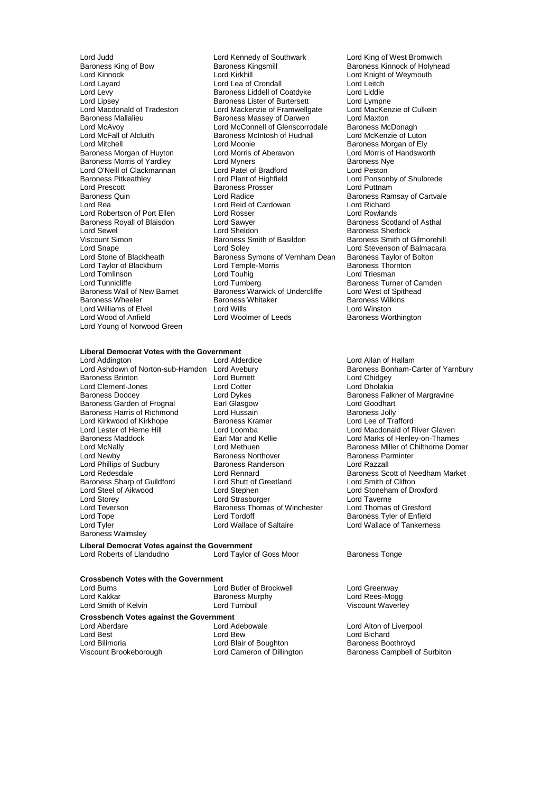Lord O'Neill of Clackmannan Lord Patel of Bradford<br>Baroness Pitkeathley Lord Plant of Highfield Lord Prescott **Baroness Prosser**<br>Baroness Quin **Baroness** Lord Radice Baroness Royall of Blaisdon Lord Sawyer<br>Lord Sewel Lord Sheldon Viscount Simon Baroness Smith of Basildon<br>
Lord Snape Baroness Smith of Basildon<br>
Lord Solev Lord Taylor of Blackburn Lord Young of Norwood Green

Lord Judd<br>
Lord Judd Lord Kennedy of Southwark Lord King of West Bromwich<br>
Baroness King of Bow Baroness Kingsmill<br>
Baroness Kinnock of Holyhea Baroness King of Bow Baroness Kingsmill Baroness Kinnock of Holyhead<br>
Lord Kinnock Cord Kinkhill Baroness Kingsmill<br>
Lord Kininnock Cord Knight of Weymouth Lord Layard Lord Lord Lea of Crondall Lord Lea Context Lord Leitch<br>
Lord Levy Context Baroness Liddell of Coatdyke Lord Liddle Lord Levy **Baroness Liddell of Coatdyke** Lord Liddle<br>
Lord Lipsev **Baroness Lister of Burtersett** Lord Lympne Lord Lipsey<br>
Lord Macdonald of Tradeston 
Lord Mackenzie of Framwellgate
Lord Mackenzie of Culkein
Lord Macdonald of Tradeston

Lord Macdonald of Tradeston

Lord Macdonald of Tradeston

Lord Macdonald of Tradeston Lord Mackenzie of Framwellgate Baroness Mallalieu **Baroness Massey of Darwen** Lord Maxton<br>
Lord McAvoy **Lord McConnell of Glenscorrodale** Baroness McDonagh Lord McAvoy **Lord McConnell of Glenscorrodale** Baroness McDonagh<br>
Lord McFall of Alcluith **Baroness McIntosh of Hudnall** Lord McKenzie of Luton Baroness McIntosh of Hudnall Lord Mitchell<br>
Lord Mitchell **Communist Communist Communist Communist Communist Communist Communist Communist Communist Communist Communist Communist Communist Communist Communist Communist Communist Communist Communist Co** Baroness Morgan of Huyton Lord Morris of Aberavon Lord Morris of Aberavon<br>Baroness Morris of Yardlev Lord Myners Corportion Baroness Nye Baroness Morris of Yardley Lord Myners Baroness Nye Baroness Pitkeathley **Lord Plant of Highfield** Hight Lord Ponsonby of Shulbrede<br>
Lord Prescott Lord Puttnam Baroness Quin **Example 2018**<br>
Lord Reading Lord Reid of Cardowan<br>
Lord Reading Baroness Ramsay of Cartvale Lord Reid of Cardowan Lord Richard<br>
Lord Rosser Lord Rowlands Lord Robertson of Port Ellen Lord Rosser Corporation Corporation Corporation Corporation Corporation Corporatio<br>
Lord Royal Baroness Royall of Blaisdon Corporation Corporation Corporation Corporation Corporation Corporatio Lord Sewel **Lord Sheldon**<br>
Lord Sheldon Baroness Smith of Basildon Baroness Sherlock<br>
Viscount Simon Baroness Smith of Basildon Baroness Smith of Gilmorehill Lord Snape Lord Soley Lord Soley Lord Soley Lord Stevenson of Balmacara<br>Lord Stone of Blackheath Baroness Symons of Vernham Dean Baroness Tavlor of Bolton Exaroness Symons of Vernham Dean Baroness Taylor of Lord Temple-Morris Corp. Lord Tomlinson Lord Touhig Lord Triesman Lord Tunnicliffe Lord Turnberg Lord Turnberg Baroness Turner of Camden<br>Baroness Wall of New Barnet Baroness Warwick of Undercliffe Lord West of Spithead Baroness Warwick of Undercliffe Baroness Wheeler Baroness Whitaker Baroness Wilkins Lord Williams of Elvel **Lord Wills** Lord Wills Lord Winston<br>
Lord Wood of Anfield **Lord Woolmer of Leeds** Baroness Wo

# Lord Knight of Weymouth Baroness Worthington

## **Liberal Democrat Votes with the Government**

Lord Ashdown of Norton-sub-Hamdon Lord Avebury **Baroness Bonham-Carter of Yarnbury**<br>Baroness Brinton **Baroness Brinton** Lord Burnett **Baroness Brinton** ermandes Brinton and Theoretic Lord Burnett<br>Lord Clement-Jones Lord Corte Lord Cotter Lord Cholakia Lord Clement-Jones<br>
Baroness Doocev<br>
Lord Dvkes Baroness Garden of Frognal Earl Glasgow Earl Coodhart Lord Goodhart<br>Baroness Harris of Richmond Lord Hussain Corporation Baroness Jolly Baroness Harris of Richmond Lord Hussain and Baroness Jolly Baroness Jolly<br>Lord Kirkwood of Kirkhope Baroness Kramer Baroness Jolly Baroness Jolly Lord Kirkwood of Kirkhope Baroness Kramer Baroness Kramer Lord Loomba Lord Lester of Herne Hill Lord Loomba<br>
Lord Lester of Herne Hill Lord Loomba Lord Lord Macdonald of River Glaven<br>
Baroness Maddock Larl Mar and Kellie Lord Marks of Henley-on-Thame Baroness Maddock **Earl Mar and Kellie Earl Mar and Kellie** Lord Marks of Henley-on-Thames<br>
Lord McNally Lord Methuen **Communist Communist Communist Communist Communist Communist Communist Communist Comm** Lord Newby **Baroness Northover** Baroness Parminter Lord Phillips of Sudbury Baroness Randerson Lord Razzall Lord Redesdale **Lord Rennard** Cord Rennard Baroness Scott of Needham Market<br>
Baroness Sharp of Guildford Lord Shutt of Greetland Lord Smith of Clifton Baroness Sharp of Guildford Lord Shutt of Cord Steel of Aikwood Lord Stephen Lord Steel of Aikwood Lord Stephen Lord Stephen Lord Stoneham of Droxford<br>
Lord Stoneham of Droxford<br>
Lord Strasburger Lord Taverne Lord Taverne Lord Storey Lord Strasburger Lord Taverne Lord Teverson **Baroness Thomas of Winchester** Lord Tope<br>
Lord Tope **Baroness Thomas of Winchester** Lord Tope Lord Tordoff Baroness Tyler of Enfield Baroness Walmsley

**Liberal Democrat Votes against the Government** Lord Roberts of Llandudno Lord Taylor of Goss Moor Baroness Tonge

### **Crossbench Votes with the Government**

Lord Smith of Kelvin

Lord Burns Lord Butler of Brockwell Lord Greenway Lord Kakkar **Baroness Murphy** Cord Cord Rees-Mogg<br>
Lord Smith of Kelvin **Lord Lord Turnbull** Cord Turnbull Cord Click Cord Click Cord Click Cord Click

# **Crossbench Votes against the Government**

Lord Aberdare Lord Adebowale Lord Alton of Liverpool Lord Best Lord Bew Lord Bichard Lord Blair of Boughton

Lord Allan of Hallam Baroness Falkner of Margravine Lord Methuen **Lord Methuen** Baroness Miller of Chilthorne Domer<br>Baroness Northover **Baroness** Parminter Lord Wallace of Tankerness

Viscount Brookeborough Lord Cameron of Dillington Baroness Campbell of Surbiton